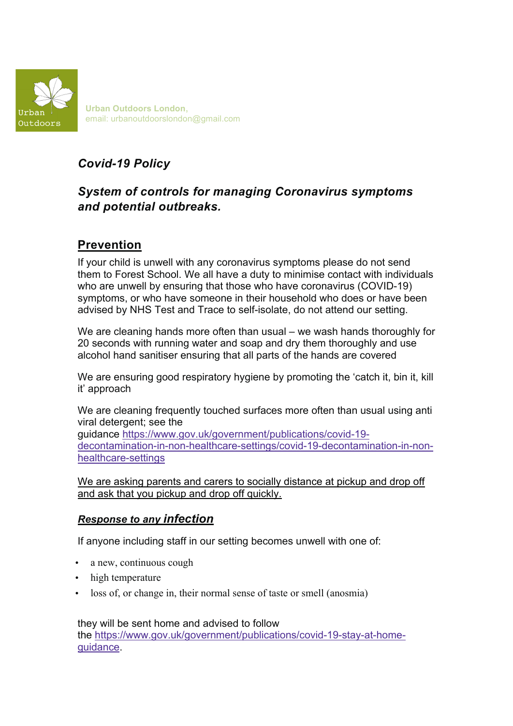

**Urban Outdoors London**, email: urbanoutdoorslondon@gmail.com

# *Covid-19 Policy*

## *System of controls for managing Coronavirus symptoms and potential outbreaks.*

# **Prevention**

If your child is unwell with any coronavirus symptoms please do not send them to Forest School. We all have a duty to minimise contact with individuals who are unwell by ensuring that those who have coronavirus (COVID-19) symptoms, or who have someone in their household who does or have been advised by NHS Test and Trace to self-isolate, do not attend our setting.

We are cleaning hands more often than usual – we wash hands thoroughly for 20 seconds with running water and soap and dry them thoroughly and use alcohol hand sanitiser ensuring that all parts of the hands are covered

We are ensuring good respiratory hygiene by promoting the 'catch it, bin it, kill it' approach

We are cleaning frequently touched surfaces more often than usual using anti viral detergent; see the guidance https://www.gov.uk/government/publications/covid-19-

decontamination-in-non-healthcare-settings/covid-19-decontamination-in-nonhealthcare-settings

We are asking parents and carers to socially distance at pickup and drop off and ask that you pickup and drop off quickly.

#### *Response to any infection*

If anyone including staff in our setting becomes unwell with one of:

- a new, continuous cough
- high temperature
- loss of, or change in, their normal sense of taste or smell (anosmia)

they will be sent home and advised to follow the https://www.gov.uk/government/publications/covid-19-stay-at-homeguidance.